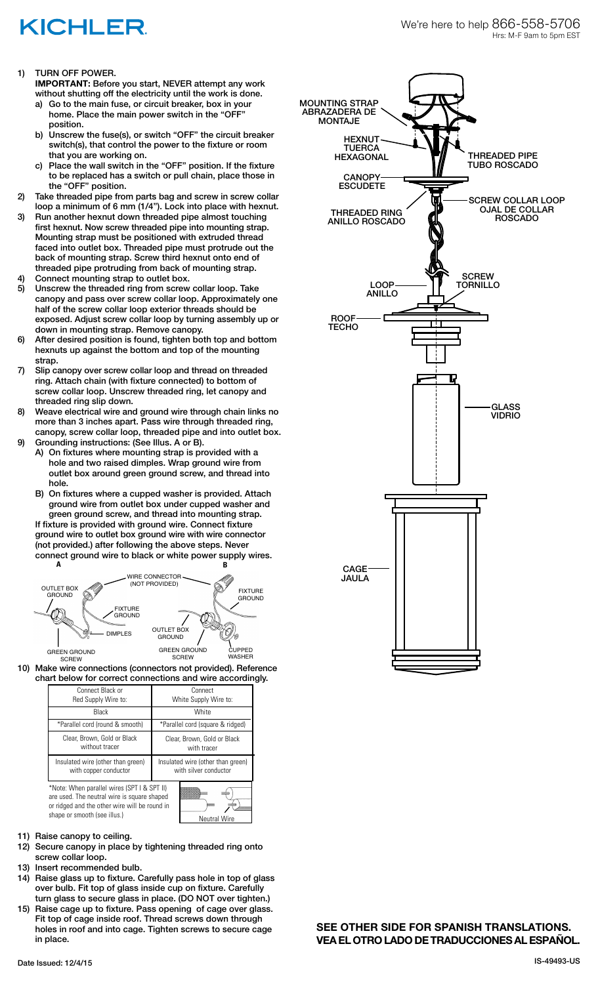## KICHLER

1) TURN OFF POWER.

**IMPORTANT:** Before you start, NEVER attempt any work without shutting off the electricity until the work is done.

- a) Go to the main fuse, or circuit breaker, box in your home. Place the main power switch in the "OFF" position.
- b) Unscrew the fuse(s), or switch "OFF" the circuit breaker switch(s), that control the power to the fixture or room that you are working on.
- Place the wall switch in the "OFF" position. If the fixture to be replaced has a switch or pull chain, place those in the "OFF" position.
- 2) Take threaded pipe from parts bag and screw in screw collar loop a minimum of 6 mm (1/4"). Lock into place with hexnut.
- 3) Run another hexnut down threaded pipe almost touching first hexnut. Now screw threaded pipe into mounting strap. Mounting strap must be positioned with extruded thread faced into outlet box. Threaded pipe must protrude out the back of mounting strap. Screw third hexnut onto end of threaded pipe protruding from back of mounting strap.
- Connect mounting strap to outlet box.
- 5) Unscrew the threaded ring from screw collar loop. Take canopy and pass over screw collar loop. Approximately one half of the screw collar loop exterior threads should be exposed. Adjust screw collar loop by turning assembly up or down in mounting strap. Remove canopy.
- 6) After desired position is found, tighten both top and bottom hexnuts up against the bottom and top of the mounting strap.
- 7) Slip canopy over screw collar loop and thread on threaded ring. Attach chain (with fixture connected) to bottom of screw collar loop. Unscrew threaded ring, let canopy and threaded ring slip down.
- 8) Weave electrical wire and ground wire through chain links no more than 3 inches apart. Pass wire through threaded ring, canopy, screw collar loop, threaded pipe and into outlet box.
- 9) Grounding instructions: (See Illus. A or B).
	- A) On fixtures where mounting strap is provided with a hole and two raised dimples. Wrap ground wire from outlet box around green ground screw, and thread into hole.
	- B) On fixtures where a cupped washer is provided. Attach ground wire from outlet box under cupped washer and green ground screw, and thread into mounting strap.

If fixture is provided with ground wire. Connect fixture ground wire to outlet box ground wire with wire connector (not provided.) after following the above steps. Never connect ground wire to black or white power supply wires.



10) Make wire connections (connectors not provided). Reference chart below for correct connections and wire accordingly.

| Connect Black or                                                                                                                            | Connect                           |
|---------------------------------------------------------------------------------------------------------------------------------------------|-----------------------------------|
| Red Supply Wire to:                                                                                                                         | White Supply Wire to:             |
| <b>Black</b>                                                                                                                                | White                             |
| *Parallel cord (round & smooth)                                                                                                             | *Parallel cord (square & ridged)  |
| Clear, Brown, Gold or Black                                                                                                                 | Clear, Brown, Gold or Black       |
| without tracer                                                                                                                              | with tracer                       |
| Insulated wire (other than green)                                                                                                           | Insulated wire (other than green) |
| with copper conductor                                                                                                                       | with silver conductor             |
| *Note: When parallel wires (SPT I & SPT II)<br>are used. The neutral wire is square shaped<br>or ridged and the other wire will be round in |                                   |

- 11) Raise canopy to ceiling.
- 12) Secure canopy in place by tightening threaded ring onto screw collar loop.

shape or smooth (see illus.) Neutral Wire

- 13) Insert recommended bulb.
- 14) Raise glass up to fixture. Carefully pass hole in top of glass over bulb. Fit top of glass inside cup on fixture. Carefully turn glass to secure glass in place. (DO NOT over tighten.)
- 15) Raise cage up to fixture. Pass opening of cage over glass. Fit top of cage inside roof. Thread screws down through holes in roof and into cage. Tighten screws to secure cage in place.



**SEE OTHER SIDE FOR SPANISH TRANSLATIONS. VEA EL OTRO LADO DE TRADUCCIONES AL ESPAÑOL.**